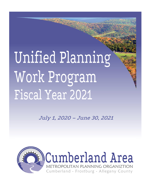# Unified Planning Work Program Fiscal Year 2021

July 1, 2020 – June 30, 2021

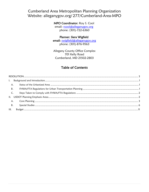## Cumberland Area Metropolitan Planning Organization Website: alleganygov.org/277/Cumberland-Area-MPO

#### MPO Coordinator: Roy S. Cool

email: rcool@alleganygov.org phone: (301)-722-6360

#### Planner: Siera Wigfield

email: swigfield@alleganygov.org phone: (301)-876-9563

Allegany County Office Complex 701 Kelly Road Cumberland, MD 21502-2803

## **Table of Contents**

| <b>A.</b>      |  |
|----------------|--|
| B.             |  |
| C <sub>1</sub> |  |
|                |  |
|                |  |
| B.             |  |
| III.           |  |
|                |  |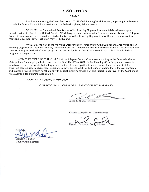## RESOLUTION

#### No. 20-4

<span id="page-2-0"></span>Resolution endorsing the Draft Fiscal Year 2021 Unified Planning Work Program, approving its submission to both the Federal Transit Administration and the Federal Highway Administration.

WHEREAS, the Cumberland Area Metropolitan Planning Organization was established to manage and provide policy direction to the Unified Planning Work Program in accordance with Federal requirements, and the Allegany County Commissioners have been designated as the Metropolitan Planning Organization for this area as approved by Maryland Governor Harry Hughes on May 17, 1982; and

WHEREAS, the staff of the Maryland Department of Transportation, the Cumberland Area Metropolitan Planning Organization Technical Advisory Committee, and the Cumberland Area Metropolitan Planning Organization staff have together prepared a draft work program and budget for Fiscal Year 2021 in compliance with applicable Federal programs and regulations.

NOW, THEREFORE, BE IT RESOLVED that the Allegany County Commissioners acting as the Cumberland Area Metropolitan Planning Organization endorses the Draft Fiscal Year 2021 Unified Planning Work Program; approves its submission to the appropriate Federal agencies, contingent on no significant public comment; and declares its intent to enter into contractual arrangements as necessary to carry out the work, with the understanding that if the work program and budget is revised through negotiations with Federal funding agencies it will be subject to approval by the Cumberland Area Metropolitan Planning Organization.

#### ADOPTED THIS 7th day of May, 2020

#### COUNTY COMMISSIONERS OF ALLEGANY COUNTY, MARYLAND

 $\diagup$ 

Jacob C. Shade, President

Creade V. Brodie, Jr., Commissioner

 $\overline{L}$ David J. Caporale, Commissioner

 $\Delta$ <sup>-</sup>  $\forall$ Brandon S

Brandon S. Butler<br>County Administrator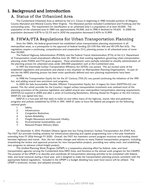## <span id="page-3-0"></span>I. Background and Introduction

## <span id="page-3-1"></span>A. Status of the Urbanized Area

The Cumberland Urbanized Area as defined by the U.S. Census in beginning in 1980 included portions of Allegany County Maryland and Mineral County West Virginia. The Maryland portion included Cumberland and Frostburg and the surrounding areas. The requirement for classification as an urbanized area is a population of at least 50,000. The population of the urbanized area in 1980 was approximately 59,000, and in 1990 it declined to 54,655. In 2000 the population decreased 4.87% to 52,115 and in 2010 the population decreased 0.42% to 51,899.

## <span id="page-3-2"></span>B. FHWA/FTA Regulations for Urban Transportation Planning

Since the 1960's, the federal government has established urban transportation planning requirements in all metropolitan areas, as a prerequisite to the approval of federal funding (23 CFR Part 450 and 49 CFR Part 613). The regulations require a continuing, comprehensive and cooperative (3-C) planning process in all urbanized areas of more than 50,000.

The Federal Highway Administration (FHWA) and the Federal Transit Administration (FTA) of the U.S. Department of Transportation issued amendments effective June 30, 1983 to their existing regulations governing urban transportation planning under FHWA and FTA grant programs. These amendments were partially intended to simplify administration of the planning process for urbanized areas under 200,000 population such as the Cumberland area.

In 1991 the Intermodal Surface Transportation Efficiency Act (ISTEA) was passed. This act revised some of the established regulations and procedures and placed a new emphasis on Metropolitan Planning Organizations. As part of this Act the MPO planning process has been more specifically defined and new planning requirements have been prescribed.

In 1998 the Transportation Equity Act for the  $21<sup>st</sup>$  Century (TEA-21) was passed continuing the initiatives of the 1991 Act, and adding several new provisions and programs.

In 2005 the Safe Accountable, Flexible, Efficient Transportation Equity Act: A Legacy for Users (SAFETEA-LU) was passed. This Act which provides for the Country's largest surface transportation investment ever retained most of the planning provisions of the previous legislation and added several new metropolitan transportation planning requirements. SAFETEA‐LU expired in 2009 and after a series of Continuing Resolutions, Moving Ahead for Progress in the 21st Century (MAP‐21) was signed into law.

MAP-21 is a two-year bill that seeks to build on and refine many of the highway, transit, bike and pedestrian programs and policies established by ISTEA in 1991. MAP-21 seeks to focus the federal aid program on the following national goals:

- 1. Safety;
- 2. Infrastructure;
- 3. Congestion Reduction;
- 4. System Reliability;
- 5. Freight Movement and Economic Vitality;
- 6. Environmental Sustainability; and
- 7. Reduced Project Delivery Dates.

On December 4, 2015, President Obama signed into law Fixing America's Surface Transportation Act (FAST Act). The FAST Act provides funding certainty for infrastructure planning and capital programming over a five-year timeframe extending from FY 2016 through FY 2020. Overall, the FAST Act maintains current program structures and funding shared between highways and transit. Also, the law makes changes and reforms to many Federal transportation programs, including, streamlining the review and approval processes for new transportation projects, providing new safety tools, and establishing new programs to advance critical freight projects.

This Unified Planning Work Program (UPWP) is a cooperative planning effort by federal, state, and local transportation agencies serving the Cumberland Area MPO Area, and functions as the annual work program for the CAMPO. The purpose of the UPWP is to describe and coordinate all transportation planning activities to be completed with federal, state, and local resources during a fiscal year, and is designed to make the transportation planning process consistent with the appropriate federal regulations. Included in the UPWP is a budget detailing how each fund source will be utilized. The UPWP is reviewed, revised, and adopted annually.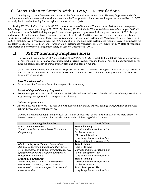## <span id="page-4-0"></span>C. Steps Taken to Comply with FHWA/FTA Regulations

The Allegany County Commissioners, acting as the Cumberland Area Metropolitan Planning Organization (MPO), continue to annually approve and amend as appropriate the Transportation Improvement Program as required by U.S. DOT, to be eligible to receive funding for the region's transportation projects

During FY 2018, Staff worked with MDOT to adopt the state of Maryland Transportation Performance Management Safety Targets that were set on August 31, 2017. On January 18, 2018, the MPO adopted these state safety targets. Staff will continue to work in FY 2020 to integrate performance-based plans and processes, including incorporation of PM2 (bridge and pavement condition) and PM3 (system performance, freight and CMAQ) highway performance measure targets and transit safety performance measures targets state of Maryland Transportation Performance Management Safety Targets In FY 2020 a resolution was signed reaffirming the MPO's adoption of the state these performance measures were re-acknowledged in a letter to MDOT. State of Maryland Transportation Performance Management Safety Targets for 2019. State of Maryland Transportation Performance Management Safety Targets on December 19, 2019.

## <span id="page-4-1"></span>II. USDOT Planning Emphasis Areas

The work tasks within this UPWP are reflective of CAMPO and MDOT's work to the establishment of performance targets, the use of performance measures to track progress towards meeting those targets, and a performance driven outcome-based approach to transportation planning and decision making.

USDOT has published circular on Planning Emphasis Areas (PEAs). The PEAs are topical areas that USDOT wants to place emphasis on as the MPOs and State DOTs develop their respective planning work programs. The PEAs for Federal FY 2019 include:

#### Map-21 Implementation

• *Transition to Performance Based Planning and Programming.* 

#### Models of Regional Planning Cooperation

• *Promote cooperation and coordination across MPO boundaries and across State boundaries where appropriate to ensure a regional approach to transportation planning.* 

#### Ladders of Opportunity

• *Access to essential services – as part of the transportation planning process, identify transportation connectivity gaps in access and essential services.*

CAMPO has developed tasks in this FY2021 UPWP that address each of the PEAs as shown in the table below. A detailed description of each task is included under each task heading of this document.

| <b>Planning Emphasis Area</b>                   | <b>CAMPO Task</b>                 |
|-------------------------------------------------|-----------------------------------|
| Map-21 Implementation                           | <b>Transit Planning</b>           |
| Transition to Performance Based Planning and    | Corridor and Intersection Studies |
| Programming.                                    | <b>GIS Enhancements</b>           |
|                                                 | MPO Administration                |
|                                                 | Long Range Transportation Plan    |
|                                                 | Transportation Improvement Plan   |
| <b>Models of Regional Planning Cooperation</b>  | <b>Transit Planning</b>           |
| Promote cooperation and coordination across     | Freight Planning                  |
| MPO boundaries and across State boundaries here | Corridor and Intersection Studies |
| appropriate to ensure a regional approach to    | Public Participation Plan         |
| transportation planning.                        | Long Range Transportation Plan    |
| Ladders of Opportunity                          | <b>Transit Planning</b>           |
| Access to essential services - as part of the   | Corridor and Intersection Studies |
| transportation planning process, identify       | GIS Enhancements                  |
| transportation connectivity gaps in access and  | Public Participation Plan         |
| essential services.                             | Long Range Transportation Plan    |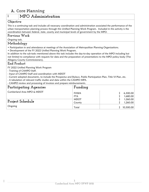## <span id="page-5-0"></span>A. Core Planning

## **1 MPO Administration**

#### **Objective**

This is a continuing task and includes all necessary coordination and administration associated the performance of the urban transportation planning process through this Unified Planning Work Program. Included in this activity is the coordination between federal, state, county and municipal levels of government by the MPO.

#### **Previous Work**

Ongoing task.

## **Methodology**

- Participation in and attendance at meetings of the Association of Metropolitan Planning Organizations.
- Development of the FY 2022 Unified Planning Work Program.

In addition to the sub-tasks mentioned above this task includes the day-to-day operation of the MPO including but not limited to compliance with requests for data and the preparation of presentations to the MPO policy body (The Allegany County Commissioners).

#### **End Product**

FY 2022 Unified Planning Work Program

- Training of CAMPO Staff.

- Input of CAMPO Staff and coordination with MDOT
- Current adopted documents, to include the Prospectus and Bylaws, Public Participation Plan, Title VI Plan, etc.
- A tabulation of relevant traffic studies and data within the CAMPO MPA.
- CAMPO review and processing of invoices and prepare reimbursements.

| Participating Agencies     | Funding     |           |
|----------------------------|-------------|-----------|
| Cumberland Area MPO & MDOT | <b>FHWA</b> | 6,300.00  |
|                            | <b>FTA</b>  | 1,680.00  |
|                            | <b>MDOT</b> | 1,260.00  |
| <b>Project Schedule</b>    | County      | 1,260.00  |
| Ongoing                    | Total       | 10,500.00 |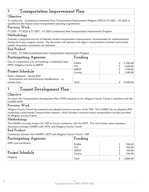#### **2 Transportation Improvement Plan Objective** To update the Cumberland Urbanized Area Transportation Improvement Program (TIP) for FY 2021 – FY 2024 as specified by the Federal urban transportation planning requirements. **Previous Work** FY 2019 – FY 2022 & FY 2017 – FY 2021 Cumberland Area Transportation Improvement Program **Methodology** Compile a comprehensive list of federally funded transportation improvements recommended for implementation during the 4 year program period. The document will represent the region's transportation priorities and include realistic financially constrained cost estimates. **End Product** FY 2022 – FY 2026 Cumberland Area Transportation Improvement Program **Participating Agencies** City of Cumberland, City of Frostburg, Cumberland Area MPO, Allegany County & MDOT **Funding** FHWA FTA MDOT County \$ \$ \$ \$ 5,700 .00 1,520 .00 1,140 1,140 Project Schedule Draft / Adoption – Spring 2021 Amendments and Administrative Modifications – as needed basis. Total \$ 9,500.00

## **3 Transit Development Plan**

#### **Objective**

To ensure the Transportation Development Plan (TDP) prepared by the Allegany County Transit is consistent with the CAMPO LRTP

#### **Previous Work**

Allegany County Transit has prepared and adopted previous versions of the TDP. The CAMPO has an adopted LRTP containing a multi-modal Transportation element, which includes a narrative about transportation services provided by Allegany County Transit.

#### **Methodology**

The CAMPO annually reviews the TDP to ensure consistency with the LRTP. This will include, when necessary, discussions amongst CAMPO staff, MTA, and Allegany County Transit.

#### **End Product**

Consistency between the CAMPO's LRTP and Allegany County Transit's TDP

| Participating Agencies  | Funding               |  |                  |  |  |  |  |
|-------------------------|-----------------------|--|------------------|--|--|--|--|
| MPO and consultants.    | FHWA<br><b>FTA</b>    |  | 720.00<br>192.00 |  |  |  |  |
| <b>Project Schedule</b> | <b>MDOT</b><br>County |  | 144.00<br>144.00 |  |  |  |  |
| Ongoing                 | Total                 |  | 1,200.00         |  |  |  |  |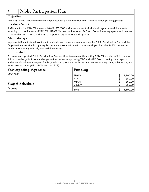# **4 Public Participation Plan**

#### **Objective**

Activities will be undertaken to increase public participation in the CAMPO's transportation planning process.

#### **Previous Work**

A Website for the CAMPO was completed in FY 2008 and is maintained to include all organizational documents, including, but not limited to LRTP, TIP, UPWP, Request for Proposals, TAC and Council meeting agenda and minutes, traffic studies and reports, and links to supporting organizations and agencies.

#### **Methodology**

Implementation efforts will continue to maintain and, when necessary, update the Public Participation Plan and the Organization's website through regular review and comparison with those developed for other MPO's, as well as modifications to any officially adopted document(s).

#### **End Product**

A current and updated Public Participation Plan; continue to maintain the existing CAMPO website, which contains links to member jurisdictions and organizations; advertise upcoming TAC and MPO Board meeting dates, agendas, and materials; advertise Request For Proposals; and provide a public portal to review existing plans, publications, and work program items (TIP, UPWP, and the LRTP).

| Participating Agencies | Funding                   |                    |
|------------------------|---------------------------|--------------------|
| MPO Staff              | <b>FHWA</b><br><b>FTA</b> | 3,300.00<br>880.00 |
| Project Schedule       | <b>MDOT</b><br>County     | 660.00<br>660.00   |
| Ongoing                | Total                     | 5,500.00           |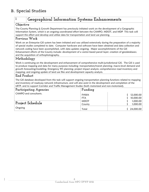## <span id="page-8-0"></span>B. Special Studies

# **1 Geographical Information Systems Enhancements**

#### **Objective**

The County Planning & Growth Department has previously initiated work on the development of a Geographic Information System, which is an ongoing coordinated effort between the CAMPO, MDOT, and MDP This task will support this effort and develop and utilize data for transportation and land use planning.

#### **Previous Work**

Work on an Enterprise GIS system has been initiated and was utilized extensively during the preparation of a majority of special studies completed to date. Computer hardware and software have been obtained and data collection and network coding have been accomplished, with data updates ongoing. Major accomplishments of the GIS Enhancement efforts of the County include: development of a vector-based parcel layer; creation of geodatabases; and the acquisition of orthophotography.

#### **Methodology**

Work is continuing on the development and enhancement of comprehensive multi-jurisdictional GIS. The GIS is used to produce mapping and data for many purposes including: transportation/transit planning; macro-level demand and growth forecasting/modeling; Emergency 911 planning; project impact analysis; comprehensive road inventory and mapping; and ongoing update of land use files and development capacity analysis.

#### **End Product**

The GIS database developed from this task will support ongoing transportation planning functions related to mapping and inventory of roadway network infrastructure, and will also assist in the development and completion of the LRTP, and to support Corridor and Traffic Management Studies (both motorized and non-motorized).

| Participating Agencies | Funding     |           |
|------------------------|-------------|-----------|
| CAMPO and consultants. | <b>FHWA</b> | 12,000.00 |
|                        | <b>FTA</b>  | 10,000.00 |
| Project Schedule       | <b>MDOT</b> | 1,000.00  |
|                        | County      | 1,000.00  |
| Ongoing                | Total       | 24,000.00 |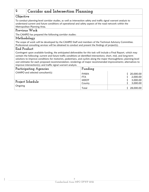# **2 Corridor and Intersection Planning**

## **Objective**

To conduct planning-level corridor studies, as well as intersection safety and traffic signal warrant analysis to understand current and future conditions of operational and safety aspects of the road network within the Metropolitan Planning Area.

#### **Previous Work**

The CAMPO has prepared the following corridor studies:

#### **Methodology**

The scope of work will be developed by the CAMPO Staff and members of the Technical Advisory Committee. Professional consulting services will be obtained to conduct and present the findings of project(s).

#### **End Product**

Contingent upon available funding, the anticipated deliverables for this task will include a Final Report, which may contain the following: current and future traffic conditions at identified intersections; short, mid, and long-term solutions to improve conditions for motorists, pedestrians, and cyclists along the major thoroughfares; planning-level cost estimates for each proposed recommendation; renderings of major recommended improvements; alternatives to improve intersection(s); and traffic signal warrant analysis.

| Participating Agencies           | Funding     |           |
|----------------------------------|-------------|-----------|
| CAMPO and selected consultant(s) | FHWA        | 20,000.00 |
|                                  | FTA         | 2,000.00  |
|                                  | <b>MDOT</b> | 3,000.00  |
| <b>Project Schedule</b>          | County      | 3,000.00  |
| Ongoing                          | Total       | 28,000.00 |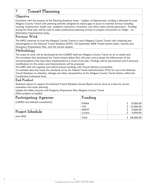## **3 Transit Planning**

#### **Objective**

Consistent with the purpose of the Planning Emphasis Areas – Ladders of Opportunity, funding is allocated to assist Allegany County Transit with planning activities designed to reduce gaps in access to essential services including housing, employment, health care, academic institutions, recreation, and other major activity generators. Funding during this fiscal year will be used to retain professional planning services to prepare and present an Origin – to – Destination Improvement study.

#### **Previous Work**

The MPO continues to fund the Allegany County Transit to assist Allegany County Transit with collecting and reportingdata to the National Transit Database (NTD). The September 2006 Transit System Safety, Security and Emergency Preparedness Plan, and the annual updates.

#### **Methodology**

The scope of work will be developed by the CAMPO Staff and Allegany County Transit on an as neede basis. The consultant that developed the Transit System Safety Plan will assess and evaluate the effectiveness of the recommendations that have been implemented as a result of the plan. Findings will be documented and if necessary, modifications to the actions and improvements will be proposed.

The MPO staff will organize and hold bi-annual meetings with Transit Advisory Committee.

To assemble data that meets the standards set by the Federal Transit Administration (FTA) for use in the National Transit Database on ridership, mileage and other characteristics of the Allegany County Transit System within the Cumberland Urbanized Area.

## **End Product**

Statistical reports to support the National Transit Database Annual Report and to serve as a basis for service evaluation and route planning.

Update the Saftey Security and Emegency Prepareness Plan Allegany County Transit Other projects as needed.

| <b>Participating Agencies</b>    | Funding               |                       |  |  |  |  |
|----------------------------------|-----------------------|-----------------------|--|--|--|--|
| CAMPO and selected consultant(s) | FHWA<br><b>FTA</b>    | 8,000.00<br>12,000.00 |  |  |  |  |
| Project Schedule<br>June 2021    | <b>MDOT</b><br>County | 4,000.00<br>4,000.00  |  |  |  |  |
|                                  | Total                 | 28,000.00             |  |  |  |  |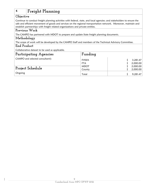# **4 Freight Planning**

## **Objective**

Continue to conduct freight planning activities with federal, state, and local agencies; and stakeholders to ensure the safe and efficient movement of goods and services on the regional transportation network. Moreover, maintain and establish partnerships with freight related organizations and private entities.

#### **Previous Work**

The CAMPO has partnered with MDOT to prepare and update State freight planning documents.

#### **Methodology**

The scope of work will be developed by the CAMPO Staff and members of the Technical Advisory Committee.

#### **End Product**

Collaborative dataset to be used as applicable.

| Participating Agencies          | Funding                   |                      |  |  |  |  |  |
|---------------------------------|---------------------------|----------------------|--|--|--|--|--|
| CAMPO and selected consultant(s | <b>FHWA</b><br><b>FTA</b> | 3,281.47<br>2,000.00 |  |  |  |  |  |
| <b>Project Schedule</b>         | <b>MDOT</b>               | 2,000.00             |  |  |  |  |  |
| Ongoing                         | County<br>Total           | 2,000.00<br>9,281.47 |  |  |  |  |  |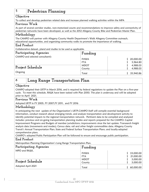## **5 Pedestrian Planning**

#### **Objective**

To collect and develop pedestrian related data and increase planned walking activities within the MPA

#### **Previous Work**

As part of several corridor studies, non-motorized counts and recommendations to improve safety and connectivity of pedestrian networks have been developed, as well as the 2012 Allegany County Bike and Pedestrian Master Plan.

#### **Methodology**

The CAMPO will partner with Allegany County Health Department's Walk Allegany Committee outreach, educational opportunities, and organizing community walks to promote the importance of walking.

#### **End Product**

Collaborative dataset, pland and studies to be used as applicable.

| Participating Agencies          | Funding               |                       |
|---------------------------------|-----------------------|-----------------------|
| CAMPO and selected consultant(s | FHWA<br>FTA           | 20,000.00<br>5,964.80 |
| Project Schedule                | <b>MDOT</b><br>County | 4,988.03<br>4,988.03  |
| Ongoing                         | Total                 | 35,940.86             |

# **6 Long Range Transportation Plan**

#### **Objective**

CAMPO adopted their LRTP in March 2016, and is required by federal regulations to update the Plan on a five-year cycle. To meet this schedule, RK&K have been tasked with Plan 2050. The plan is underway and will be adopted prior to April 2021.

#### **Previous Work**

Adopted LRTP in FY 2005, FY 2007,FY 2011, and FY 2016

#### **Methodology**

In anticipating the next update of the Organization's LRTP,CAMPO Staff will compile essential background information, conduct research about emerging trends, and analyze transportation and development activity to identify potential impacts to the regional transportation network. Pertinent data to be compiled and analyzed includes: previous and on-going transportation planning studies and reports prepared for the CAMPO; Capital Improvement Programs and Budgets of member jurisdictions; improvements since the last update; Transearch freight analysis data (movements and modes); Census data; rail and other freight commodities data; Allegany County Transit's Annual Transportation Plan; State and Federal Surface Transportation Plans; and locally-adopted comprehensive plans.

CAMPO's adopted Public Participation Plan will be followed to ensure and encourage public participation.

#### **End Product**

Metropolitan Planning Organization's Long Range Transportation Plan.

| Participating Agencies | Funding               |                      |  |  |  |  |
|------------------------|-----------------------|----------------------|--|--|--|--|
| MPO and RK&K.          | FHWA                  | \$33,000.00          |  |  |  |  |
|                        | FTA                   | 21,000.00            |  |  |  |  |
| Project Schedule       | <b>MDOT</b><br>County | 3,000.00<br>3,000.00 |  |  |  |  |
| Adopted April 2021     | Total                 | 60,000.00            |  |  |  |  |